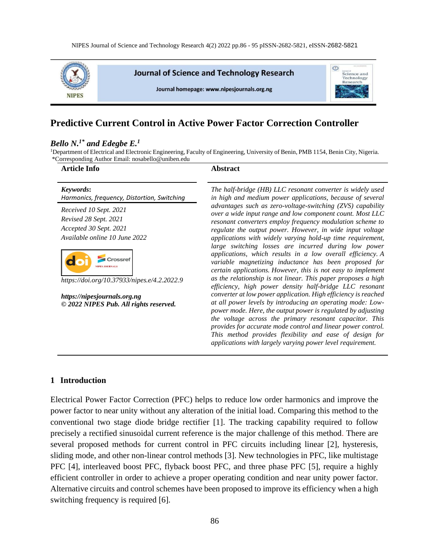

# **Predictive Current Control in Active Power Factor Correction Controller**

### *Bello N. 1\* and Edegbe E. 1*

<sup>1</sup>Department of Electrical and Electronic Engineering, Faculty of Engineering, University of Benin, PMB 1154, Benin City, Nigeria. \*Corresponding Author Email: nosabello@uniben.edu

| <b>Article Info</b>                                                       | <b>Abstract</b>                                                                                                                                                                                                                                                                                                                                                                                                                                  |
|---------------------------------------------------------------------------|--------------------------------------------------------------------------------------------------------------------------------------------------------------------------------------------------------------------------------------------------------------------------------------------------------------------------------------------------------------------------------------------------------------------------------------------------|
| Keywords:<br>Harmonics, frequency, Distortion, Switching                  | The half-bridge (HB) LLC resonant converter is widely used<br>in high and medium power applications, because of several                                                                                                                                                                                                                                                                                                                          |
| Received 10 Sept. 2021<br>Revised 28 Sept. 2021<br>Accepted 30 Sept. 2021 | advantages such as zero-voltage-switching (ZVS) capability<br>over a wide input range and low component count. Most LLC<br>resonant converters employ frequency modulation scheme to                                                                                                                                                                                                                                                             |
| Available online 10 June 2022                                             | regulate the output power. However, in wide input voltage<br>applications with widely varying hold-up time requirement,<br>large switching losses are incurred during low power                                                                                                                                                                                                                                                                  |
| Crossre<br><b>IPES JOURNALS</b>                                           | applications, which results in a low overall efficiency. A<br>variable magnetizing inductance has been proposed for<br>certain applications. However, this is not easy to implement                                                                                                                                                                                                                                                              |
| https://doi.org/10.37933/nipes.e/4.2.2022.9                               | as the relationship is not linear. This paper proposes a high<br>efficiency, high power density half-bridge LLC resonant                                                                                                                                                                                                                                                                                                                         |
| https://nipesjournals.org.ng<br>© 2022 NIPES Pub. All rights reserved.    | converter at low power application. High efficiency is reached<br>at all power levels by introducing an operating mode: Low-<br>power mode. Here, the output power is regulated by adjusting<br>the voltage across the primary resonant capacitor. This<br>provides for accurate mode control and linear power control.<br>This method provides flexibility and ease of design for<br>applications with largely varying power level requirement. |

#### **1 Introduction**

Electrical Power Factor Correction (PFC) helps to reduce low order harmonics and improve the power factor to near unity without any alteration of the initial load. Comparing this method to the conventional two stage diode bridge rectifier [1]. The tracking capability required to follow precisely a rectified sinusoidal current reference is the major challenge of this method. There are several proposed methods for current control in PFC circuits including linear [2], hysteresis, sliding mode, and other non-linear control methods [3]. New technologies in PFC, like multistage PFC [4], interleaved boost PFC, flyback boost PFC, and three phase PFC [5], require a highly efficient controller in order to achieve a proper operating condition and near unity power factor. Alternative circuits and control schemes have been proposed to improve its efficiency when a high switching frequency is required [6].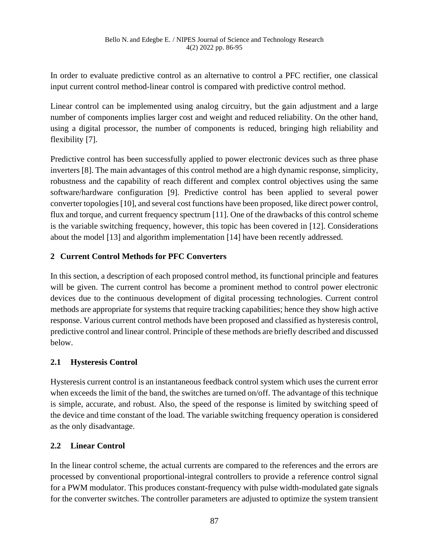In order to evaluate predictive control as an alternative to control a PFC rectifier, one classical input current control method-linear control is compared with predictive control method.

Linear control can be implemented using analog circuitry, but the gain adjustment and a large number of components implies larger cost and weight and reduced reliability. On the other hand, using a digital processor, the number of components is reduced, bringing high reliability and flexibility [7].

Predictive control has been successfully applied to power electronic devices such as three phase inverters [8]. The main advantages of this control method are a high dynamic response, simplicity, robustness and the capability of reach different and complex control objectives using the same software/hardware configuration [9]. Predictive control has been applied to several power converter topologies [10], and several cost functions have been proposed, like direct power control, flux and torque, and current frequency spectrum [11]. One of the drawbacks of this control scheme is the variable switching frequency, however, this topic has been covered in [12]. Considerations about the model [13] and algorithm implementation [14] have been recently addressed.

# **2 Current Control Methods for PFC Converters**

In this section, a description of each proposed control method, its functional principle and features will be given. The current control has become a prominent method to control power electronic devices due to the continuous development of digital processing technologies. Current control methods are appropriate for systems that require tracking capabilities; hence they show high active response. Various current control methods have been proposed and classified as hysteresis control, predictive control and linear control. Principle of these methods are briefly described and discussed below.

# **2.1 Hysteresis Control**

Hysteresis current control is an instantaneous feedback control system which uses the current error when exceeds the limit of the band, the switches are turned on/off. The advantage of this technique is simple, accurate, and robust. Also, the speed of the response is limited by switching speed of the device and time constant of the load. The variable switching frequency operation is considered as the only disadvantage.

# **2.2 Linear Control**

In the linear control scheme, the actual currents are compared to the references and the errors are processed by conventional proportional-integral controllers to provide a reference control signal for a PWM modulator. This produces constant-frequency with pulse width-modulated gate signals for the converter switches. The controller parameters are adjusted to optimize the system transient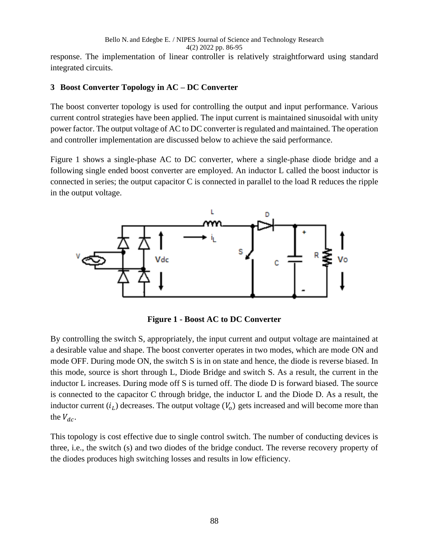#### Bello N. and Edegbe E. / NIPES Journal of Science and Technology Research 4(2) 2022 pp. 86-95

response. The implementation of linear controller is relatively straightforward using standard integrated circuits.

### **3 Boost Converter Topology in AC – DC Converter**

The boost converter topology is used for controlling the output and input performance. Various current control strategies have been applied. The input current is maintained sinusoidal with unity power factor. The output voltage of AC to DC converter is regulated and maintained. The operation and controller implementation are discussed below to achieve the said performance.

Figure 1 shows a single-phase AC to DC converter, where a single-phase diode bridge and a following single ended boost converter are employed. An inductor L called the boost inductor is connected in series; the output capacitor  $C$  is connected in parallel to the load  $R$  reduces the ripple in the output voltage.



**Figure 1 - Boost AC to DC Converter**

By controlling the switch S, appropriately, the input current and output voltage are maintained at a desirable value and shape. The boost converter operates in two modes, which are mode ON and mode OFF. During mode ON, the switch S is in on state and hence, the diode is reverse biased. In this mode, source is short through L, Diode Bridge and switch S. As a result, the current in the inductor L increases. During mode off S is turned off. The diode D is forward biased. The source is connected to the capacitor C through bridge, the inductor L and the Diode D. As a result, the inductor current  $(i_L)$  decreases. The output voltage  $(V_o)$  gets increased and will become more than the  $V_{dc}$ .

This topology is cost effective due to single control switch. The number of conducting devices is three, i.e., the switch (s) and two diodes of the bridge conduct. The reverse recovery property of the diodes produces high switching losses and results in low efficiency.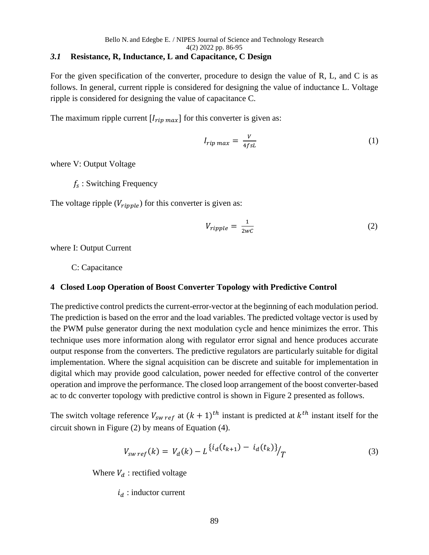### *3.1* **Resistance, R, Inductance, L and Capacitance, C Design**

For the given specification of the converter, procedure to design the value of R, L, and C is as follows. In general, current ripple is considered for designing the value of inductance L. Voltage ripple is considered for designing the value of capacitance C.

The maximum ripple current  $[I_{rip \, max}]$  for this converter is given as:

$$
I_{rip \, max} = \frac{V}{4fsL} \tag{1}
$$

where V: Output Voltage

 $f_s$ : Switching Frequency

The voltage ripple  $(V_{ripple})$  for this converter is given as:

$$
V_{ripple} = \frac{1}{2wC}
$$
 (2)

where I: Output Current

C: Capacitance

## **4 Closed Loop Operation of Boost Converter Topology with Predictive Control**

The predictive control predicts the current-error-vector at the beginning of each modulation period. The prediction is based on the error and the load variables. The predicted voltage vector is used by the PWM pulse generator during the next modulation cycle and hence minimizes the error. This technique uses more information along with regulator error signal and hence produces accurate output response from the converters. The predictive regulators are particularly suitable for digital implementation. Where the signal acquisition can be discrete and suitable for implementation in digital which may provide good calculation, power needed for effective control of the converter operation and improve the performance. The closed loop arrangement of the boost converter-based ac to dc converter topology with predictive control is shown in Figure 2 presented as follows.

The switch voltage reference  $V_{sw\,ref}$  at  $(k + 1)^{th}$  instant is predicted at  $k^{th}$  instant itself for the circuit shown in Figure (2) by means of Equation (4).

$$
V_{sw\,ref}(k) = V_d(k) - L \left\{ i_d(t_{k+1}) - i_d(t_k) \right\} / T \tag{3}
$$

Where  $V_d$ : rectified voltage

 $i_d$ : inductor current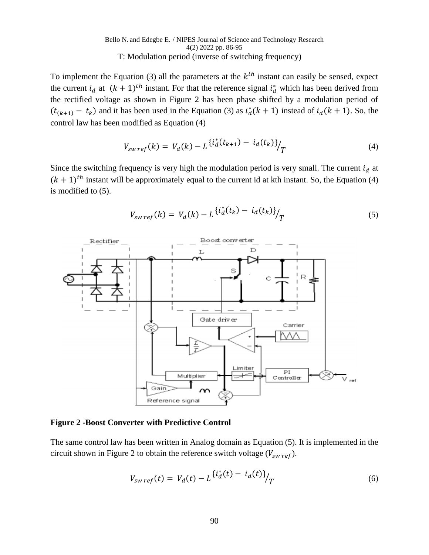#### Bello N. and Edegbe E. / NIPES Journal of Science and Technology Research 4(2) 2022 pp. 86-95 T: Modulation period (inverse of switching frequency)

To implement the Equation (3) all the parameters at the  $k<sup>th</sup>$  instant can easily be sensed, expect the current  $i_d$  at  $(k + 1)^{th}$  instant. For that the reference signal  $i_d^*$  which has been derived from the rectified voltage as shown in Figure 2 has been phase shifted by a modulation period of  $(t_{(k+1)} - t_k)$  and it has been used in the Equation (3) as  $t_d^*(k+1)$  instead of  $t_d(k+1)$ . So, the control law has been modified as Equation (4)

$$
V_{sw\,ref}(k) = V_d(k) - L \frac{\{i_d^*(t_{k+1}) - i_d(t_k)\}}{T}
$$
\n(4)

Since the switching frequency is very high the modulation period is very small. The current  $i_d$  at  $(k + 1)^{th}$  instant will be approximately equal to the current id at kth instant. So, the Equation (4) is modified to (5).

$$
V_{sw\,ref}(k) = V_d(k) - L \frac{\{i_d^*(t_k) - i_d(t_k)\}}{T}
$$
\n(5)



#### **Figure 2 -Boost Converter with Predictive Control**

The same control law has been written in Analog domain as Equation (5). It is implemented in the circuit shown in Figure 2 to obtain the reference switch voltage  $(V_{swref})$ .

$$
V_{sw\,ref}(t) = V_d(t) - L \frac{\{i_d^*(t) - i_d(t)\}}{T}
$$
\n(6)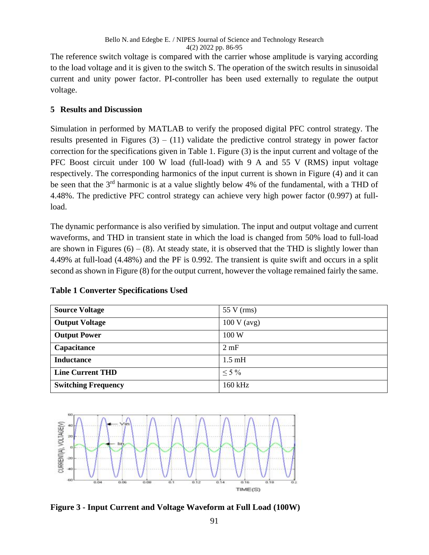The reference switch voltage is compared with the carrier whose amplitude is varying according to the load voltage and it is given to the switch S. The operation of the switch results in sinusoidal current and unity power factor. PI-controller has been used externally to regulate the output voltage.

## **5 Results and Discussion**

Simulation in performed by MATLAB to verify the proposed digital PFC control strategy. The results presented in Figures  $(3) - (11)$  validate the predictive control strategy in power factor correction for the specifications given in Table 1. Figure (3) is the input current and voltage of the PFC Boost circuit under 100 W load (full-load) with 9 A and 55 V (RMS) input voltage respectively. The corresponding harmonics of the input current is shown in Figure (4) and it can be seen that the 3<sup>rd</sup> harmonic is at a value slightly below 4% of the fundamental, with a THD of 4.48%. The predictive PFC control strategy can achieve very high power factor (0.997) at fullload.

The dynamic performance is also verified by simulation. The input and output voltage and current waveforms, and THD in transient state in which the load is changed from 50% load to full-load are shown in Figures  $(6) - (8)$ . At steady state, it is observed that the THD is slightly lower than 4.49% at full-load (4.48%) and the PF is 0.992. The transient is quite swift and occurs in a split second as shown in Figure (8) for the output current, however the voltage remained fairly the same.

| <b>Source Voltage</b>      | $55 \text{ V}$ (rms) |
|----------------------------|----------------------|
| <b>Output Voltage</b>      | 100 V (avg)          |
| <b>Output Power</b>        | 100W                 |
| Capacitance                | 2 mF                 |
| <b>Inductance</b>          | $1.5 \text{ mH}$     |
| <b>Line Current THD</b>    | $\leq 5\%$           |
| <b>Switching Frequency</b> | 160 kHz              |

## **Table 1 Converter Specifications Used**



**Figure 3 - Input Current and Voltage Waveform at Full Load (100W)**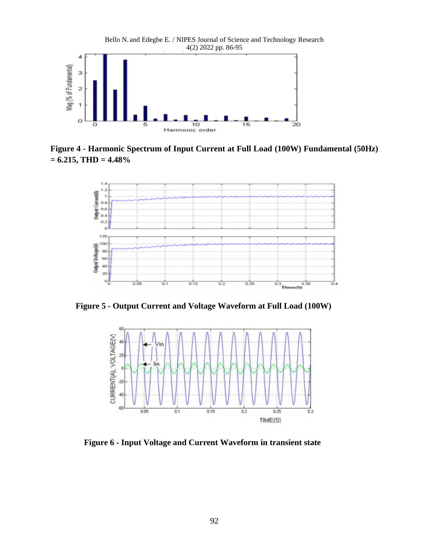

**Figure 4 - Harmonic Spectrum of Input Current at Full Load (100W) Fundamental (50Hz) = 6.215, THD = 4.48%**



 **Figure 5 - Output Current and Voltage Waveform at Full Load (100W)**



 **Figure 6 - Input Voltage and Current Waveform in transient state**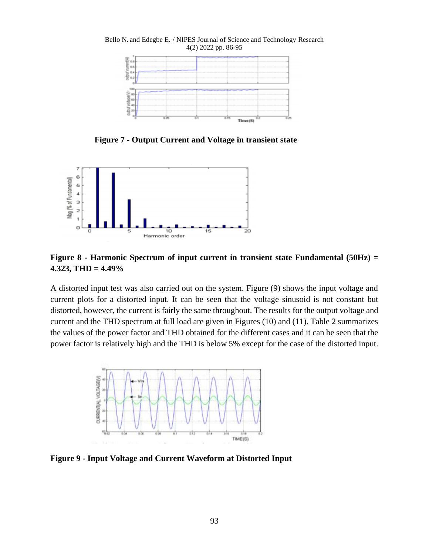

 **Figure 7 - Output Current and Voltage in transient state**



**Figure 8 - Harmonic Spectrum of input current in transient state Fundamental (50Hz) = 4.323, THD = 4.49%**

A distorted input test was also carried out on the system. Figure (9) shows the input voltage and current plots for a distorted input. It can be seen that the voltage sinusoid is not constant but distorted, however, the current is fairly the same throughout. The results for the output voltage and current and the THD spectrum at full load are given in Figures (10) and (11). Table 2 summarizes the values of the power factor and THD obtained for the different cases and it can be seen that the power factor is relatively high and the THD is below 5% except for the case of the distorted input.



**Figure 9 - Input Voltage and Current Waveform at Distorted Input**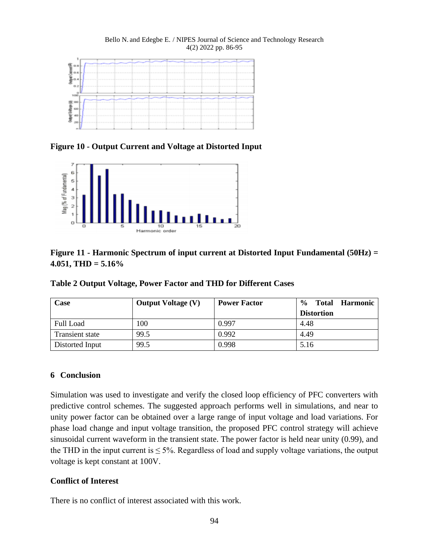#### Bello N. and Edegbe E. / NIPES Journal of Science and Technology Research 4(2) 2022 pp. 86-95



**Figure 10 - Output Current and Voltage at Distorted Input**



# **Figure 11 - Harmonic Spectrum of input current at Distorted Input Fundamental (50Hz) = 4.051, THD = 5.16%**

**Table 2 Output Voltage, Power Factor and THD for Different Cases**

| Case            | <b>Output Voltage (V)</b> | <b>Power Factor</b> | $\frac{6}{6}$<br><b>Harmonic</b><br><b>Total</b> |
|-----------------|---------------------------|---------------------|--------------------------------------------------|
|                 |                           |                     | <b>Distortion</b>                                |
| Full Load       | 100                       | 0.997               | 4.48                                             |
| Transient state | 99.5                      | 0.992               | 4.49                                             |
| Distorted Input | 99.5                      | 0.998               | 5.16                                             |

### **6 Conclusion**

Simulation was used to investigate and verify the closed loop efficiency of PFC converters with predictive control schemes. The suggested approach performs well in simulations, and near to unity power factor can be obtained over a large range of input voltage and load variations. For phase load change and input voltage transition, the proposed PFC control strategy will achieve sinusoidal current waveform in the transient state. The power factor is held near unity (0.99), and the THD in the input current is  $\leq 5\%$ . Regardless of load and supply voltage variations, the output voltage is kept constant at 100V.

## **Conflict of Interest**

There is no conflict of interest associated with this work.